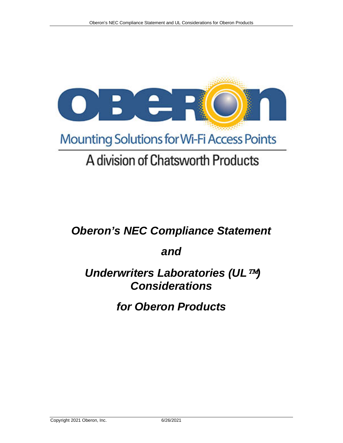

# A division of Chatsworth Products

# *Oberon's NEC Compliance Statement*

# *and*

# *Underwriters Laboratories (UL<sup>TM</sup>) Considerations*

# *for Oberon Products*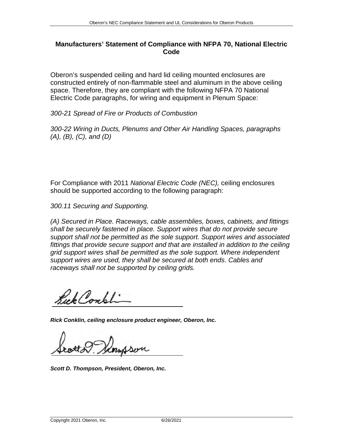### **Manufacturers' Statement of Compliance with NFPA 70, National Electric Code**

Oberon's suspended ceiling and hard lid ceiling mounted enclosures are constructed entirely of non-flammable steel and aluminum in the above ceiling space. Therefore, they are compliant with the following NFPA 70 National Electric Code paragraphs, for wiring and equipment in Plenum Space:

*300-21 Spread of Fire or Products of Combustion*

*300-22 Wiring in Ducts, Plenums and Other Air Handling Spaces, paragraphs (A), (B), (C), and (D)*

For Compliance with 2011 *National Electric Code (NEC),* ceiling enclosures should be supported according to the following paragraph:

*300.11 Securing and Supporting.*

*(A) Secured in Place. Raceways, cable assemblies, boxes, cabinets, and fittings shall be securely fastened in place. Support wires that do not provide secure support shall not be permitted as the sole support. Support wires and associated fittings that provide secure support and that are installed in addition to the ceiling grid support wires shall be permitted as the sole support. Where independent support wires are used, they shall be secured at both ends. Cables and raceways shall not be supported by ceiling grids.*

Sick Consti

*Rick Conklin, ceiling enclosure product engineer, Oberon, Inc.*

*Scott D. Thompson, President, Oberon, Inc.*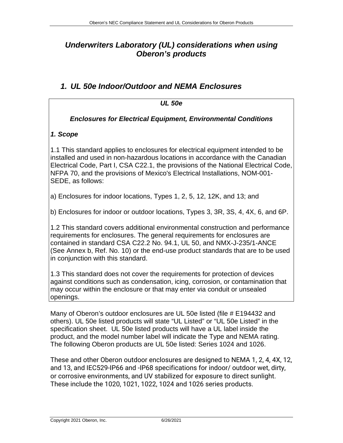# *Underwriters Laboratory (UL) considerations when using Oberon's products*

# *1. UL 50e Indoor/Outdoor and NEMA Enclosures*

| <b>UL 50e</b>                                                                                                                                                                                                                                                                                                                                                |  |  |
|--------------------------------------------------------------------------------------------------------------------------------------------------------------------------------------------------------------------------------------------------------------------------------------------------------------------------------------------------------------|--|--|
| <b>Enclosures for Electrical Equipment, Environmental Conditions</b>                                                                                                                                                                                                                                                                                         |  |  |
| 1. Scope                                                                                                                                                                                                                                                                                                                                                     |  |  |
| 1.1 This standard applies to enclosures for electrical equipment intended to be<br>installed and used in non-hazardous locations in accordance with the Canadian<br>Electrical Code, Part I, CSA C22.1, the provisions of the National Electrical Code,<br>NFPA 70, and the provisions of Mexico's Electrical Installations, NOM-001-<br>SEDE, as follows:   |  |  |
| a) Enclosures for indoor locations, Types 1, 2, 5, 12, 12K, and 13; and                                                                                                                                                                                                                                                                                      |  |  |
| b) Enclosures for indoor or outdoor locations, Types 3, 3R, 3S, 4, 4X, 6, and 6P.                                                                                                                                                                                                                                                                            |  |  |
| 1.2 This standard covers additional environmental construction and performance<br>requirements for enclosures. The general requirements for enclosures are<br>contained in standard CSA C22.2 No. 94.1, UL 50, and NMX-J-235/1-ANCE<br>(See Annex b, Ref. No. 10) or the end-use product standards that are to be used<br>in conjunction with this standard. |  |  |
| 1.3 This standard does not cover the requirements for protection of devices<br>against conditions such as condensation, icing, corrosion, or contamination that<br>may occur within the enclosure or that may enter via conduit or unsealed<br>openings.                                                                                                     |  |  |

Many of Oberon's outdoor enclosures are UL 50e listed (file # E194432 and others). UL 50e listed products will state "UL Listed" or "UL 50e Listed" in the specification sheet. UL 50e listed products will have a UL label inside the product, and the model number label will indicate the Type and NEMA rating. The following Oberon products are UL 50e listed: Series 1024 and 1026.

These and other Oberon outdoor enclosures are designed to NEMA 1, 2, 4, 4X, 12, and 13, and IEC529-IP66 and -IP68 specifications for indoor/ outdoor wet, dirty, or corrosive environments, and UV stabilized for exposure to direct sunlight. These include the 1020, 1021, 1022, 1024 and 1026 series products.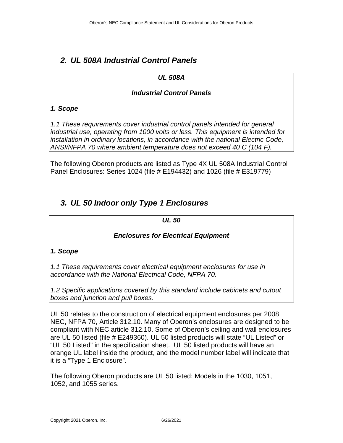# *2. UL 508A Industrial Control Panels*

## *UL 508A*

### *Industrial Control Panels*

## *1. Scope*

*1.1 These requirements cover industrial control panels intended for general industrial use, operating from 1000 volts or less. This equipment is intended for installation in ordinary locations, in accordance with the national Electric Code, ANSI/NFPA 70 where ambient temperature does not exceed 40 C (104 F).* 

The following Oberon products are listed as Type 4X UL 508A Industrial Control Panel Enclosures: Series 1024 (file # E194432) and 1026 (file # E319779)

# *3. UL 50 Indoor only Type 1 Enclosures*

### *UL 50*

## *Enclosures for Electrical Equipment*

## *1. Scope*

*1.1 These requirements cover electrical equipment enclosures for use in accordance with the National Electrical Code, NFPA 70.* 

*1.2 Specific applications covered by this standard include cabinets and cutout boxes and junction and pull boxes.* 

UL 50 relates to the construction of electrical equipment enclosures per 2008 NEC, NFPA 70, Article 312.10. Many of Oberon's enclosures are designed to be compliant with NEC article 312.10. Some of Oberon's ceiling and wall enclosures are UL 50 listed (file # E249360). UL 50 listed products will state "UL Listed" or "UL 50 Listed" in the specification sheet. UL 50 listed products will have an orange UL label inside the product, and the model number label will indicate that it is a "Type 1 Enclosure".

The following Oberon products are UL 50 listed: Models in the 1030, 1051, 1052, and 1055 series.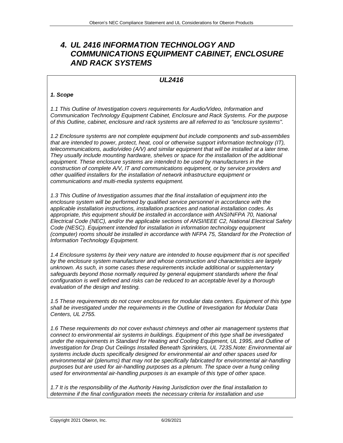## *4. UL 2416 INFORMATION TECHNOLOGY AND COMMUNICATIONS EQUIPMENT CABINET, ENCLOSURE AND RACK SYSTEMS*

### *UL2416*

#### *1. Scope*

*1.1 This Outline of Investigation covers requirements for Audio/Video, Information and Communication Technology Equipment Cabinet, Enclosure and Rack Systems. For the purpose of this Outline, cabinet, enclosure and rack systems are all referred to as "enclosure systems".* 

*1.2 Enclosure systems are not complete equipment but include components and sub-assemblies that are intended to power, protect, heat, cool or otherwise support information technology (IT), telecommunications, audio/video (A/V) and similar equipment that will be installed at a later time. They usually include mounting hardware, shelves or space for the installation of the additional equipment. These enclosure systems are intended to be used by manufacturers in the construction of complete A/V, IT and communications equipment, or by service providers and other qualified installers for the installation of network infrastructure equipment or communications and multi-media systems equipment.* 

*1.3 This Outline of Investigation assumes that the final installation of equipment into the enclosure system will be performed by qualified service personnel in accordance with the applicable installation instructions, installation practices and national installation codes. As appropriate, this equipment should be installed in accordance with ANSI/NFPA 70, National Electrical Code (NEC), and/or the applicable sections of ANSI/IEEE C2, National Electrical Safety Code (NESC). Equipment intended for installation in information technology equipment (computer) rooms should be installed in accordance with NFPA 75, Standard for the Protection of Information Technology Equipment.* 

*1.4 Enclosure systems by their very nature are intended to house equipment that is not specified by the enclosure system manufacturer and whose construction and characteristics are largely unknown. As such, in some cases these requirements include additional or supplementary safeguards beyond those normally required by general equipment standards where the final configuration is well defined and risks can be reduced to an acceptable level by a thorough evaluation of the design and testing.* 

*1.5 These requirements do not cover enclosures for modular data centers. Equipment of this type shall be investigated under the requirements in the Outline of Investigation for Modular Data Centers, UL 2755.* 

*1.6 These requirements do not cover exhaust chimneys and other air management systems that connect to environmental air systems in buildings. Equipment of this type shall be investigated under the requirements in Standard for Heating and Cooling Equipment, UL 1995, and Outline of Investigation for Drop Out Ceilings Installed Beneath Sprinklers, UL 723S.Note: Environmental air systems include ducts specifically designed for environmental air and other spaces used for environmental air (plenums) that may not be specifically fabricated for environmental air-handling purposes but are used for air-handling purposes as a plenum. The space over a hung ceiling used for environmental air-handling purposes is an example of this type of other space.* 

*1.7 It is the responsibility of the Authority Having Jurisdiction over the final installation to determine if the final configuration meets the necessary criteria for installation and use*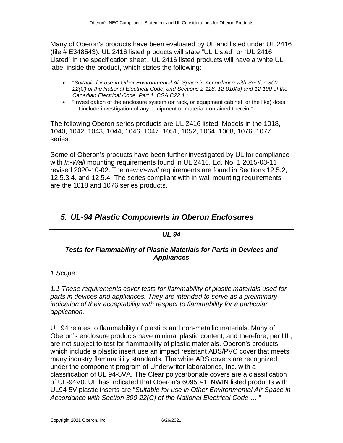Many of Oberon's products have been evaluated by UL and listed under UL 2416 (file # E348543). UL 2416 listed products will state "UL Listed" or "UL 2416 Listed" in the specification sheet. UL 2416 listed products will have a white UL label inside the product, which states the following:

- "*Suitable for use in Other Environmental Air Space in Accordance with Section 300- 22(C) of the National Electrical Code, and Sections 2-128, 12-010(3) and 12-100 of the Canadian Electrical Code, Part 1, CSA C22.1."*
- "Investigation of the enclosure system (or rack, or equipment cabinet, or the like) does not include investigation of any equipment or material contained therein."

The following Oberon series products are UL 2416 listed: Models in the 1018, 1040, 1042, 1043, 1044, 1046, 1047, 1051, 1052, 1064, 1068, 1076, 1077 series.

Some of Oberon's products have been further investigated by UL for compliance with *In-Wall* mounting requirements found in UL 2416, Ed. No. 1 2015-03-11 revised 2020-10-02. The new *in-wall* requirements are found in Sections 12.5.2, 12.5.3.4. and 12.5.4. The series compliant with in-wall mounting requirements are the 1018 and 1076 series products.

# *5. UL-94 Plastic Components in Oberon Enclosures*

# *UL 94 Tests for Flammability of Plastic Materials for Parts in Devices and Appliances*

*1 Scope*

*1.1 These requirements cover tests for flammability of plastic materials used for parts in devices and appliances. They are intended to serve as a preliminary indication of their acceptability with respect to flammability for a particular application.* 

UL 94 relates to flammability of plastics and non-metallic materials. Many of Oberon's enclosure products have minimal plastic content, and therefore, per UL, are not subject to test for flammability of plastic materials. Oberon's products which include a plastic insert use an impact resistant ABS/PVC cover that meets many industry flammability standards. The white ABS covers are recognized under the component program of Underwriter laboratories, Inc. with a classification of UL 94-5VA. The Clear polycarbonate covers are a classification of UL-94V0. UL has indicated that Oberon's 60950-1, NWIN listed products with UL94-5V plastic inserts are "*Suitable for use in Other Environmental Air Space in Accordance with Section 300-22(C) of the National Electrical Code* …."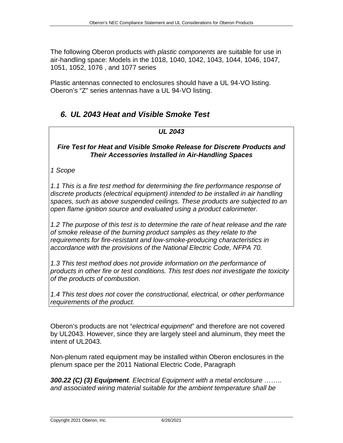The following Oberon products with *plastic components* are suitable for use in air-handling space: Models in the 1018, 1040, 1042, 1043, 1044, 1046, 1047, 1051, 1052, 1076 , and 1077 series

Plastic antennas connected to enclosures should have a UL 94-VO listing. Oberon's "Z" series antennas have a UL 94-VO listing.

# *6. UL 2043 Heat and Visible Smoke Test*

### *UL 2043*

### *Fire Test for Heat and Visible Smoke Release for Discrete Products and Their Accessories Installed in Air-Handling Spaces*

### *1 Scope*

*1.1 This is a fire test method for determining the fire performance response of discrete products (electrical equipment) intended to be installed in air handling spaces, such as above suspended ceilings. These products are subjected to an open flame ignition source and evaluated using a product calorimeter.* 

*1.2 The purpose of this test is to determine the rate of heat release and the rate of smoke release of the burning product samples as they relate to the requirements for fire-resistant and low-smoke-producing characteristics in accordance with the provisions of the National Electric Code, NFPA 70.* 

*1.3 This test method does not provide information on the performance of products in other fire or test conditions. This test does not investigate the toxicity of the products of combustion.* 

*1.4 This test does not cover the constructional, electrical, or other performance requirements of the product.*

Oberon's products are not "*electrical equipment*" and therefore are not covered by UL2043. However, since they are largely steel and aluminum, they meet the intent of UL2043.

Non-plenum rated equipment may be installed within Oberon enclosures in the plenum space per the 2011 National Electric Code, Paragraph

*300.22 (C) (3) Equipment. Electrical Equipment with a metal enclosure …….. and associated wiring material suitable for the ambient temperature shall be* 

Copyright 2021 Oberon, Inc. 6/26/2021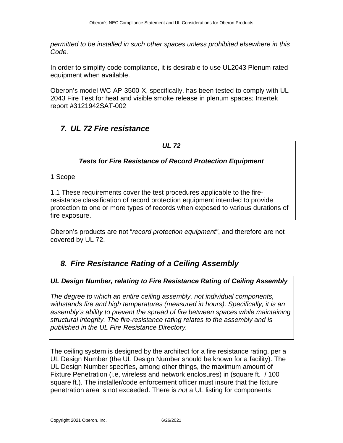*permitted to be installed in such other spaces unless prohibited elsewhere in this Code.* 

In order to simplify code compliance, it is desirable to use UL2043 Plenum rated equipment when available.

Oberon's model WC-AP-3500-X, specifically, has been tested to comply with UL 2043 Fire Test for heat and visible smoke release in plenum spaces; Intertek report #3121942SAT-002

# *7. UL 72 Fire resistance*

### *UL 72*

### *Tests for Fire Resistance of Record Protection Equipment*

1 Scope

1.1 These requirements cover the test procedures applicable to the fireresistance classification of record protection equipment intended to provide protection to one or more types of records when exposed to various durations of fire exposure.

Oberon's products are not "*record protection equipment"*, and therefore are not covered by UL 72.

# *8. Fire Resistance Rating of a Ceiling Assembly*

### *UL Design Number, relating to Fire Resistance Rating of Ceiling Assembly*

*The degree to which an entire ceiling assembly, not individual components, withstands fire and high temperatures (measured in hours). Specifically, it is an assembly's ability to prevent the spread of fire between spaces while maintaining structural integrity. The fire-resistance rating relates to the assembly and is published in the UL Fire Resistance Directory.* 

The ceiling system is designed by the architect for a fire resistance rating, per a UL Design Number (the UL Design Number should be known for a facility). The UL Design Number specifies, among other things, the maximum amount of Fixture Penetration (i.e, wireless and network enclosures) in (square ft. / 100 square ft.). The installer/code enforcement officer must insure that the fixture penetration area is not exceeded. There is *not* a UL listing for components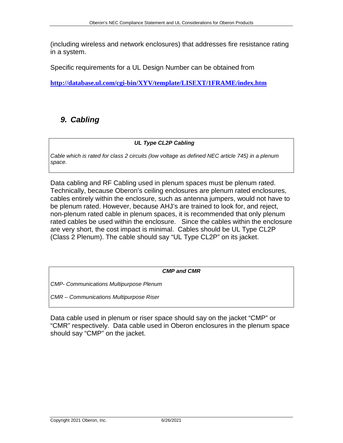(including wireless and network enclosures) that addresses fire resistance rating in a system.

Specific requirements for a UL Design Number can be obtained from

**<http://database.ul.com/cgi-bin/XYV/template/LISEXT/1FRAME/index.htm>**

# *9. Cabling*

### *UL Type CL2P Cabling*

*Cable which is rated for class 2 circuits (low voltage as defined NEC article 745) in a plenum space.* 

Data cabling and RF Cabling used in plenum spaces must be plenum rated. Technically, because Oberon's ceiling enclosures are plenum rated enclosures, cables entirely within the enclosure, such as antenna jumpers, would not have to be plenum rated. However, because AHJ's are trained to look for, and reject, non-plenum rated cable in plenum spaces, it is recommended that only plenum rated cables be used within the enclosure. Since the cables within the enclosure are very short, the cost impact is minimal. Cables should be UL Type CL2P (Class 2 Plenum). The cable should say "UL Type CL2P" on its jacket.

*CMP and CMR*

*CMP- Communications Multipurpose Plenum*

*CMR – Communications Multipurpose Riser*

Data cable used in plenum or riser space should say on the jacket "CMP" or "CMR" respectively. Data cable used in Oberon enclosures in the plenum space should say "CMP" on the jacket.